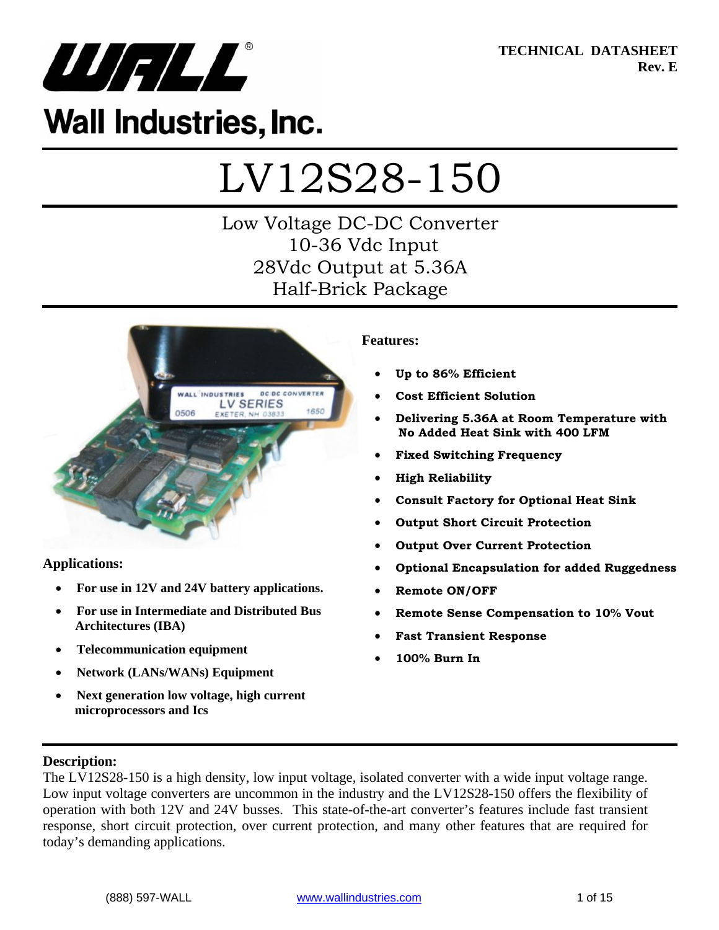

**TECHNICAL DATASHEET Rev. E** 

# **Wall Industries, Inc.**

# LV12S28-150

# Low Voltage DC-DC Converter 10-36 Vdc Input 28Vdc Output at 5.36A Half-Brick Package



### **Applications:**

- **For use in 12V and 24V battery applications.**
- **For use in Intermediate and Distributed Bus Architectures (IBA)**
- **Telecommunication equipment**
- **Network (LANs/WANs) Equipment**
- **Next generation low voltage, high current microprocessors and Ics**

#### **Features:**

- **Up to 86% Efficient**
- **Cost Efficient Solution**
- **Delivering 5.36A at Room Temperature with No Added Heat Sink with 400 LFM**
- **Fixed Switching Frequency**
- **High Reliability**
- **Consult Factory for Optional Heat Sink**
- **Output Short Circuit Protection**
- **Output Over Current Protection**
- **Optional Encapsulation for added Ruggedness**
- **Remote ON/OFF**
- **Remote Sense Compensation to 10% Vout**
- **Fast Transient Response**
- **100% Burn In**

#### **Description:**

The LV12S28-150 is a high density, low input voltage, isolated converter with a wide input voltage range. Low input voltage converters are uncommon in the industry and the LV12S28-150 offers the flexibility of operation with both 12V and 24V busses. This state-of-the-art converter's features include fast transient response, short circuit protection, over current protection, and many other features that are required for today's demanding applications.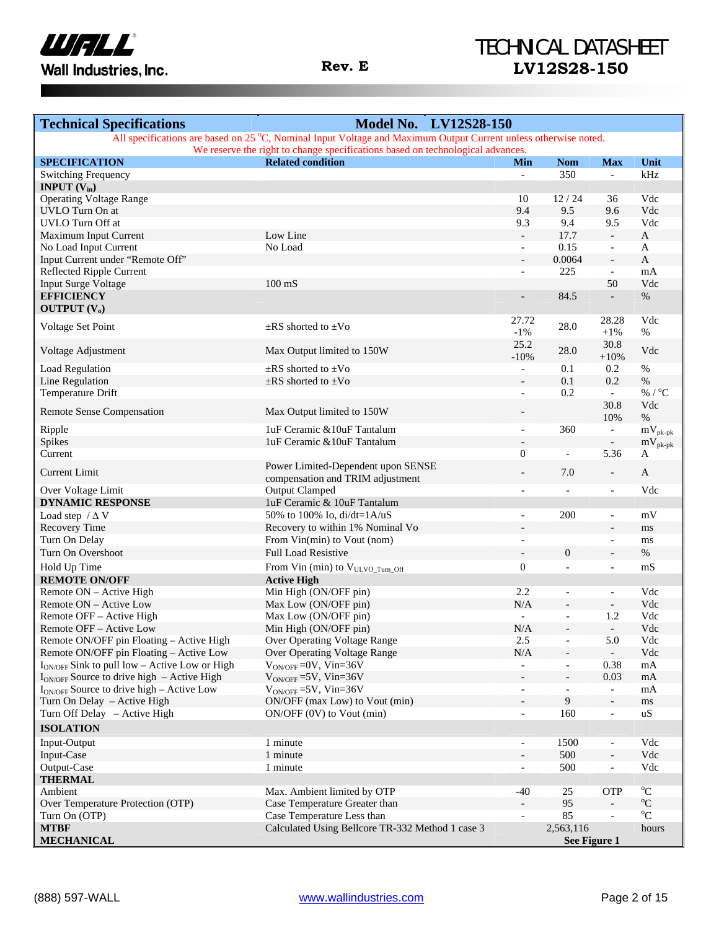

# TECHNICAL DATASHEET **Rev. E LV12S28-150**

| <b>Technical Specifications</b>                                                                                                                                                                   | <b>Model No. LV12S28-150</b>                     |                          |                          |                              |                     |
|---------------------------------------------------------------------------------------------------------------------------------------------------------------------------------------------------|--------------------------------------------------|--------------------------|--------------------------|------------------------------|---------------------|
| All specifications are based on 25 °C, Nominal Input Voltage and Maximum Output Current unless otherwise noted.<br>We reserve the right to change specifications based on technological advances. |                                                  |                          |                          |                              |                     |
| <b>SPECIFICATION</b>                                                                                                                                                                              | <b>Related condition</b>                         | Min                      | <b>Nom</b>               | <b>Max</b>                   | Unit                |
| <b>Switching Frequency</b>                                                                                                                                                                        |                                                  | $\overline{\phantom{0}}$ | 350                      | $\blacksquare$               | kHz                 |
| <b>INPUT</b> $(V_{in})$                                                                                                                                                                           |                                                  |                          |                          |                              |                     |
| <b>Operating Voltage Range</b>                                                                                                                                                                    |                                                  | 10                       | 12/24                    | 36                           | Vdc                 |
| <b>UVLO</b> Turn On at                                                                                                                                                                            |                                                  | 9.4                      | 9.5                      | 9.6                          | Vdc                 |
| UVLO Turn Off at                                                                                                                                                                                  |                                                  | 9.3                      | 9.4                      | 9.5                          | Vdc                 |
| Maximum Input Current                                                                                                                                                                             | Low Line                                         | $\overline{\phantom{a}}$ | 17.7                     | $\overline{\phantom{a}}$     | A                   |
| No Load Input Current                                                                                                                                                                             | No Load                                          | $\overline{\phantom{a}}$ | 0.15                     | $\overline{\phantom{a}}$     | A                   |
| Input Current under "Remote Off"                                                                                                                                                                  |                                                  | $\overline{\phantom{a}}$ | 0.0064                   | $\Box$                       | $\mathbf{A}$        |
| Reflected Ripple Current                                                                                                                                                                          |                                                  | $\overline{\phantom{a}}$ | 225                      | $\blacksquare$               | mA                  |
| <b>Input Surge Voltage</b>                                                                                                                                                                        | $100 \text{ mS}$                                 |                          |                          | 50                           | Vdc                 |
| <b>EFFICIENCY</b>                                                                                                                                                                                 |                                                  | $\overline{a}$           | 84.5                     | $\overline{\phantom{a}}$     | $\%$                |
| <b>OUTPUT</b> $(V_0)$                                                                                                                                                                             |                                                  |                          |                          |                              |                     |
| Voltage Set Point                                                                                                                                                                                 | $\pm$ RS shorted to $\pm$ Vo                     | 27.72                    | 28.0                     | 28.28                        | Vdc                 |
|                                                                                                                                                                                                   |                                                  | $-1\%$                   |                          | $+1\%$                       | %                   |
| Voltage Adjustment                                                                                                                                                                                | Max Output limited to 150W                       | 25.2                     | 28.0                     | 30.8                         | Vdc                 |
|                                                                                                                                                                                                   |                                                  | $-10%$                   |                          | $+10%$                       |                     |
| <b>Load Regulation</b>                                                                                                                                                                            | $\pm$ RS shorted to $\pm$ Vo                     | $\overline{\phantom{a}}$ | 0.1                      | 0.2                          | $\%$                |
| Line Regulation                                                                                                                                                                                   | $\pm$ RS shorted to $\pm$ Vo                     |                          | 0.1                      | 0.2                          | $\%$                |
| Temperature Drift                                                                                                                                                                                 |                                                  | $\blacksquare$           | 0.2                      | $\equiv$                     | % / $^{\circ}$ C    |
| <b>Remote Sense Compensation</b>                                                                                                                                                                  | Max Output limited to 150W                       | $\overline{a}$           |                          | 30.8                         | Vdc                 |
|                                                                                                                                                                                                   |                                                  |                          |                          | 10%                          | $\%$                |
| Ripple                                                                                                                                                                                            | 1uF Ceramic & 10uF Tantalum                      | $\overline{\phantom{a}}$ | 360                      | $\equiv$                     | $mV_{pk-pk}$        |
| Spikes                                                                                                                                                                                            | 1uF Ceramic & 10uF Tantalum                      |                          |                          | $\overline{\phantom{a}}$     | $mV_{pk-pk}$        |
| Current                                                                                                                                                                                           |                                                  | $\boldsymbol{0}$         | $\overline{\phantom{0}}$ | 5.36                         | A                   |
| <b>Current Limit</b>                                                                                                                                                                              | Power Limited-Dependent upon SENSE               | $\overline{\phantom{a}}$ | 7.0                      | $\overline{\phantom{a}}$     | A                   |
|                                                                                                                                                                                                   | compensation and TRIM adjustment                 |                          |                          |                              |                     |
| Over Voltage Limit                                                                                                                                                                                | <b>Output Clamped</b>                            | $\overline{\phantom{a}}$ | $\overline{\phantom{a}}$ | $\blacksquare$               | Vdc                 |
| <b>DYNAMIC RESPONSE</b>                                                                                                                                                                           | 1uF Ceramic & 10uF Tantalum                      |                          |                          |                              |                     |
| Load step $/\Delta V$                                                                                                                                                                             | 50% to 100% Io, di/dt=1A/uS                      | $\overline{\phantom{a}}$ | 200                      | $\overline{\phantom{a}}$     | mV                  |
| Recovery Time                                                                                                                                                                                     | Recovery to within 1% Nominal Vo                 |                          |                          | $\overline{\phantom{a}}$     | ms                  |
| Turn On Delay                                                                                                                                                                                     | From Vin(min) to Vout (nom)                      |                          |                          | $\overline{\phantom{a}}$     | ms                  |
| Turn On Overshoot                                                                                                                                                                                 | <b>Full Load Resistive</b>                       | $\overline{\phantom{a}}$ | $\boldsymbol{0}$         | $\overline{\phantom{a}}$     | $\%$                |
| Hold Up Time                                                                                                                                                                                      | From Vin (min) to VULVO_Turn_Off                 | $\boldsymbol{0}$         | $\overline{a}$           | $\overline{\phantom{a}}$     | mS                  |
| <b>REMOTE ON/OFF</b>                                                                                                                                                                              | <b>Active High</b>                               |                          |                          |                              |                     |
| Remote ON – Active High                                                                                                                                                                           | Min High (ON/OFF pin)                            | 2.2                      | $\overline{a}$           | $\overline{\phantom{a}}$     | Vdc                 |
| Remote ON - Active Low                                                                                                                                                                            | Max Low (ON/OFF pin)                             | N/A                      |                          | $\Box$                       | Vdc                 |
| Remote OFF - Active High                                                                                                                                                                          | Max Low (ON/OFF pin)                             | $\equiv$                 | $\overline{\phantom{0}}$ | 1.2                          | Vdc                 |
| Remote OFF - Active Low                                                                                                                                                                           | Min High (ON/OFF pin)                            | N/A                      |                          | $\blacksquare$               | Vdc                 |
| Remote ON/OFF pin Floating - Active High                                                                                                                                                          | Over Operating Voltage Range                     | $2.5\,$                  |                          | 5.0                          | Vdc                 |
| Remote ON/OFF pin Floating - Active Low                                                                                                                                                           | Over Operating Voltage Range                     | N/A                      |                          | $\overline{\phantom{a}}$     | Vdc                 |
| $I_{ON/OFF}$ Sink to pull low - Active Low or High                                                                                                                                                | $V_{ON/OFF}$ =0V, Vin=36V                        | $\overline{\phantom{a}}$ | $\overline{\phantom{0}}$ | 0.38                         | mA                  |
| I <sub>ON/OFF</sub> Source to drive high - Active High                                                                                                                                            | $V_{ON/OFF}$ =5V, Vin=36V                        |                          |                          | 0.03                         | mA                  |
| $I_{ON/OFF}$ Source to drive high – Active Low                                                                                                                                                    | $V_{ON/OFF}$ =5V, Vin=36V                        | $\overline{a}$           | $\overline{a}$           | $\overline{\phantom{a}}$     | mA                  |
| Turn On Delay - Active High                                                                                                                                                                       | ON/OFF (max Low) to Vout (min)                   |                          | 9                        | $\overline{\phantom{a}}$     | ms                  |
| Turn Off Delay - Active High                                                                                                                                                                      | $ON/OFF (0V)$ to Vout $(min)$                    | $\overline{\phantom{a}}$ | 160                      | $\overline{\phantom{a}}$     | uS                  |
| <b>ISOLATION</b>                                                                                                                                                                                  |                                                  |                          |                          |                              |                     |
| Input-Output                                                                                                                                                                                      | 1 minute                                         | $\overline{\phantom{a}}$ | 1500                     | $\overline{\phantom{a}}$     | Vdc                 |
| Input-Case                                                                                                                                                                                        | 1 minute                                         |                          | 500                      | $\overline{\phantom{0}}$     | Vdc                 |
| Output-Case                                                                                                                                                                                       | 1 minute                                         | $\overline{a}$           | 500                      | $\qquad \qquad \blacksquare$ | Vdc                 |
| <b>THERMAL</b>                                                                                                                                                                                    |                                                  |                          |                          |                              |                     |
| Ambient                                                                                                                                                                                           | Max. Ambient limited by OTP                      | $-40$                    | 25                       | <b>OTP</b>                   | $^{\rm o}\!{\rm C}$ |
| Over Temperature Protection (OTP)                                                                                                                                                                 | Case Temperature Greater than                    |                          | 95                       | $\overline{\phantom{a}}$     | $^{\rm o}{\rm C}$   |
| Turn On (OTP)                                                                                                                                                                                     | Case Temperature Less than                       |                          | 85                       |                              | $\rm ^{o}C$         |
| <b>MTBF</b>                                                                                                                                                                                       | Calculated Using Bellcore TR-332 Method 1 case 3 |                          | 2,563,116                |                              | hours               |
| <b>MECHANICAL</b>                                                                                                                                                                                 |                                                  |                          |                          | See Figure 1                 |                     |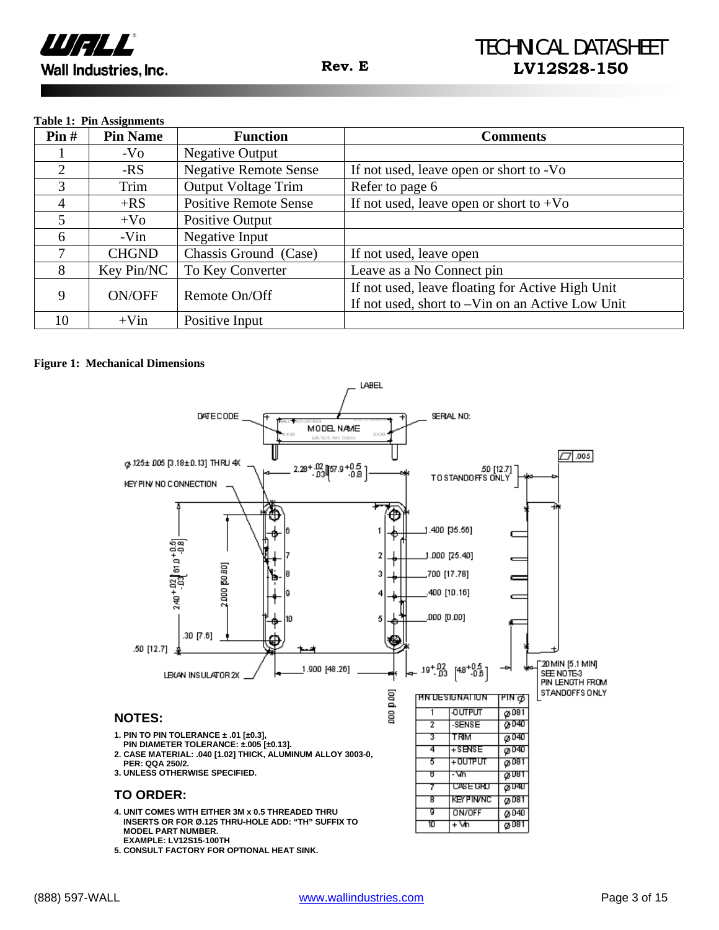

#### **Table 1: Pin Assignments**

| Pin#               | <b>Pin Name</b> | <b>Function</b>                                  | <b>Comments</b>                                  |
|--------------------|-----------------|--------------------------------------------------|--------------------------------------------------|
|                    | $-VO$           | <b>Negative Output</b>                           |                                                  |
| $\overline{2}$     | -RS             | <b>Negative Remote Sense</b>                     | If not used, leave open or short to -Vo          |
| 3                  | Trim            | <b>Output Voltage Trim</b>                       | Refer to page 6                                  |
| 4                  | $+RS$           | <b>Positive Remote Sense</b>                     | If not used, leave open or short to $+V_0$       |
| 5                  | $+V_0$          | Positive Output                                  |                                                  |
| 6                  | -Vin            | Negative Input                                   |                                                  |
| 7                  | <b>CHGND</b>    | Chassis Ground (Case)                            | If not used, leave open                          |
| 8                  | Key Pin/NC      | To Key Converter                                 | Leave as a No Connect pin                        |
| <b>ON/OFF</b><br>9 | Remote On/Off   | If not used, leave floating for Active High Unit |                                                  |
|                    |                 |                                                  | If not used, short to -Vin on an Active Low Unit |
| 10                 | $+V$ in         | Positive Input                                   |                                                  |

#### **Figure 1: Mechanical Dimensions**



**5. CONSULT FACTORY FOR OPTIONAL HEAT SINK.**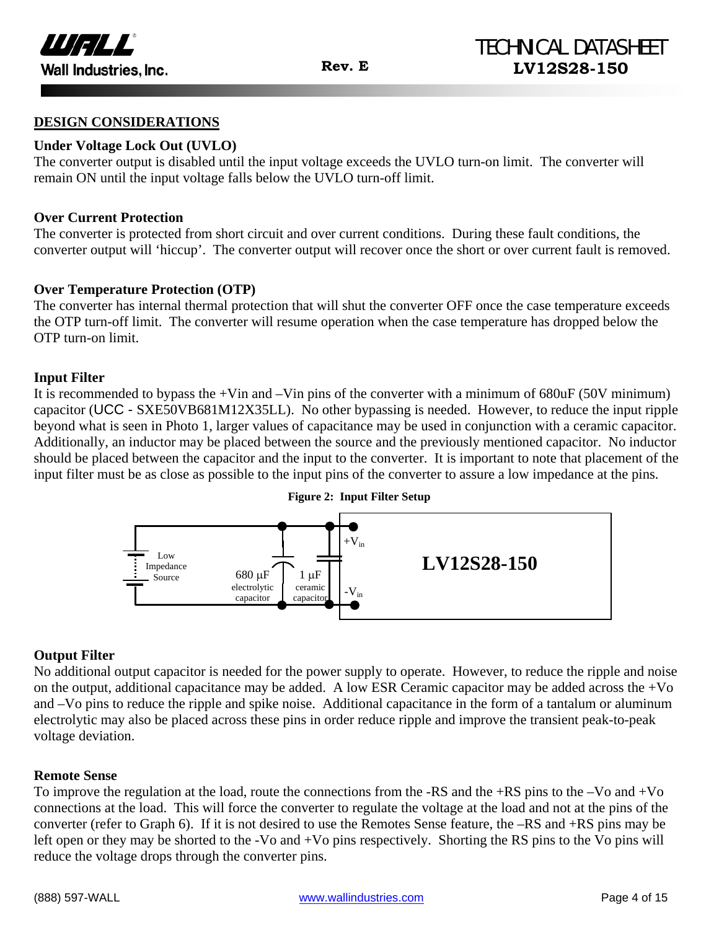

#### **DESIGN CONSIDERATIONS**

#### **Under Voltage Lock Out (UVLO)**

The converter output is disabled until the input voltage exceeds the UVLO turn-on limit. The converter will remain ON until the input voltage falls below the UVLO turn-off limit.

#### **Over Current Protection**

The converter is protected from short circuit and over current conditions. During these fault conditions, the converter output will 'hiccup'. The converter output will recover once the short or over current fault is removed.

#### **Over Temperature Protection (OTP)**

The converter has internal thermal protection that will shut the converter OFF once the case temperature exceeds the OTP turn-off limit. The converter will resume operation when the case temperature has dropped below the OTP turn-on limit.

#### **Input Filter**

It is recommended to bypass the  $+V$ in and  $-V$ in pins of the converter with a minimum of 680uF (50V minimum) capacitor (UCC - SXE50VB681M12X35LL). No other bypassing is needed. However, to reduce the input ripple beyond what is seen in Photo 1, larger values of capacitance may be used in conjunction with a ceramic capacitor. Additionally, an inductor may be placed between the source and the previously mentioned capacitor. No inductor should be placed between the capacitor and the input to the converter. It is important to note that placement of the input filter must be as close as possible to the input pins of the converter to assure a low impedance at the pins.



#### **Output Filter**

No additional output capacitor is needed for the power supply to operate. However, to reduce the ripple and noise on the output, additional capacitance may be added. A low ESR Ceramic capacitor may be added across the +Vo and –Vo pins to reduce the ripple and spike noise. Additional capacitance in the form of a tantalum or aluminum electrolytic may also be placed across these pins in order reduce ripple and improve the transient peak-to-peak voltage deviation.

#### **Remote Sense**

To improve the regulation at the load, route the connections from the -RS and the +RS pins to the –Vo and +Vo connections at the load. This will force the converter to regulate the voltage at the load and not at the pins of the converter (refer to Graph 6). If it is not desired to use the Remotes Sense feature, the –RS and +RS pins may be left open or they may be shorted to the -Vo and +Vo pins respectively. Shorting the RS pins to the Vo pins will reduce the voltage drops through the converter pins.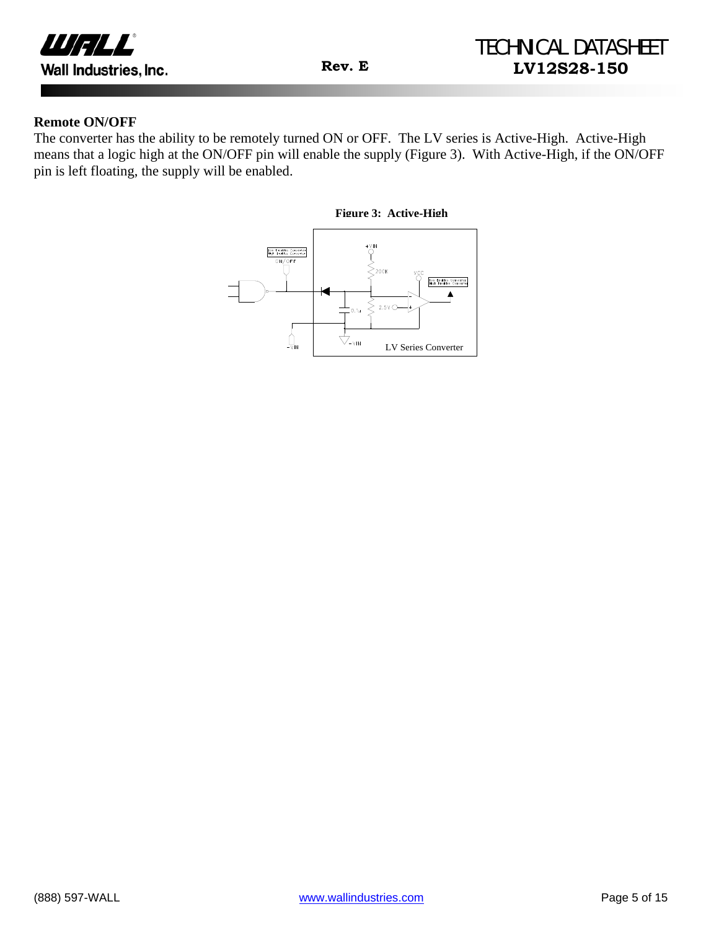

#### **Remote ON/OFF**

The converter has the ability to be remotely turned ON or OFF. The LV series is Active-High. Active-High means that a logic high at the ON/OFF pin will enable the supply (Figure 3). With Active-High, if the ON/OFF pin is left floating, the supply will be enabled.

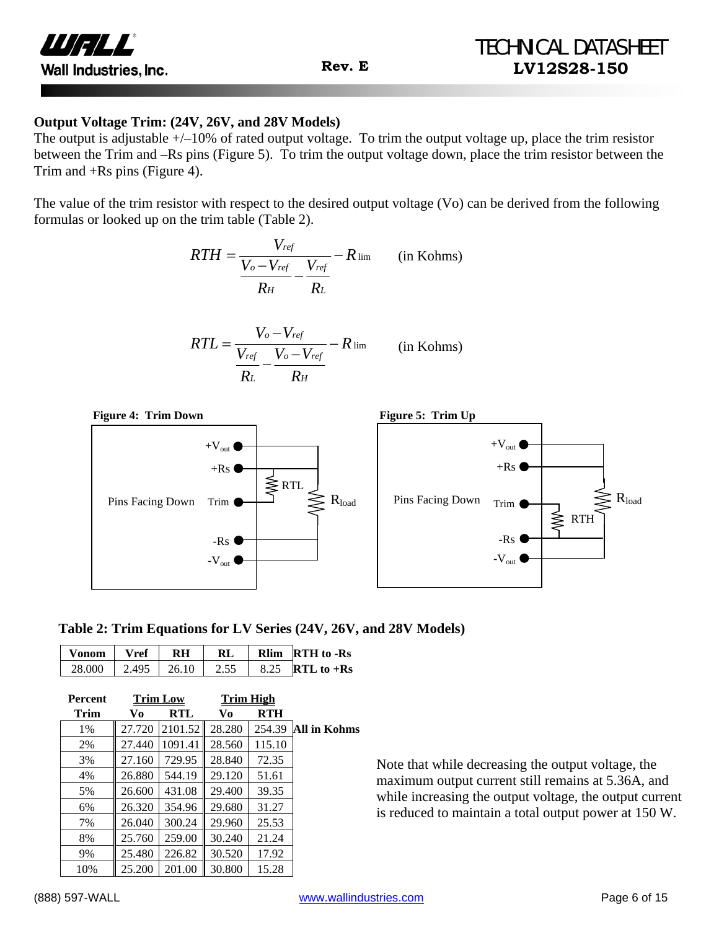

#### **Output Voltage Trim: (24V, 26V, and 28V Models)**

The output is adjustable  $+/-10\%$  of rated output voltage. To trim the output voltage up, place the trim resistor between the Trim and –Rs pins (Figure 5). To trim the output voltage down, place the trim resistor between the Trim and +Rs pins (Figure 4).

The value of the trim resistor with respect to the desired output voltage (Vo) can be derived from the following formulas or looked up on the trim table (Table 2).

$$
RTH = \frac{V_{ref}}{\frac{V_o - V_{ref}}{R_H} - \frac{V_{ref}}{R_L}} - R_{\text{lim}} \qquad \text{(in Kohns)}
$$

$$
RTL = \frac{V_o - V_{ref}}{\frac{V_{ref}}{R_L} - \frac{V_o - V_{ref}}{R_H}} - R \lim_{\text{lim}} \qquad \text{(in Kohns)}
$$



 **Table 2: Trim Equations for LV Series (24V, 26V, and 28V Models)**

|        | Vref          | <b>RL</b> | <b>Rlim RTH</b> to -Rs         |
|--------|---------------|-----------|--------------------------------|
| 28,000 | $2.495$ 26.10 | 2.55      | 8.25 <b>RTL</b> to + <b>Rs</b> |

| <b>Percent</b> |        | <b>Trim Low</b> | <b>Trim High</b> |            |              |
|----------------|--------|-----------------|------------------|------------|--------------|
| Trim           | Vo     | <b>RTL</b>      | Vo               | <b>RTH</b> |              |
| 1%             | 27.720 | 2101.52         | 28.280           | 254.39     | All in Kohms |
| 2%             | 27.440 | 1091.41         | 28.560           | 115.10     |              |
| 3%             | 27.160 | 729.95          | 28.840           | 72.35      |              |
| 4%             | 26.880 | 544.19          | 29.120           | 51.61      |              |
| 5%             | 26.600 | 431.08          | 29.400           | 39.35      |              |
| 6%             | 26.320 | 354.96          | 29.680           | 31.27      |              |
| 7%             | 26.040 | 300.24          | 29.960           | 25.53      |              |
| 8%             | 25.760 | 259.00          | 30.240           | 21.24      |              |
| 9%             | 25.480 | 226.82          | 30.520           | 17.92      |              |
| 10%            | 25.200 | 201.00          | 30.800           | 15.28      |              |

Note that while decreasing the output voltage, the maximum output current still remains at 5.36A, and while increasing the output voltage, the output current is reduced to maintain a total output power at 150 W.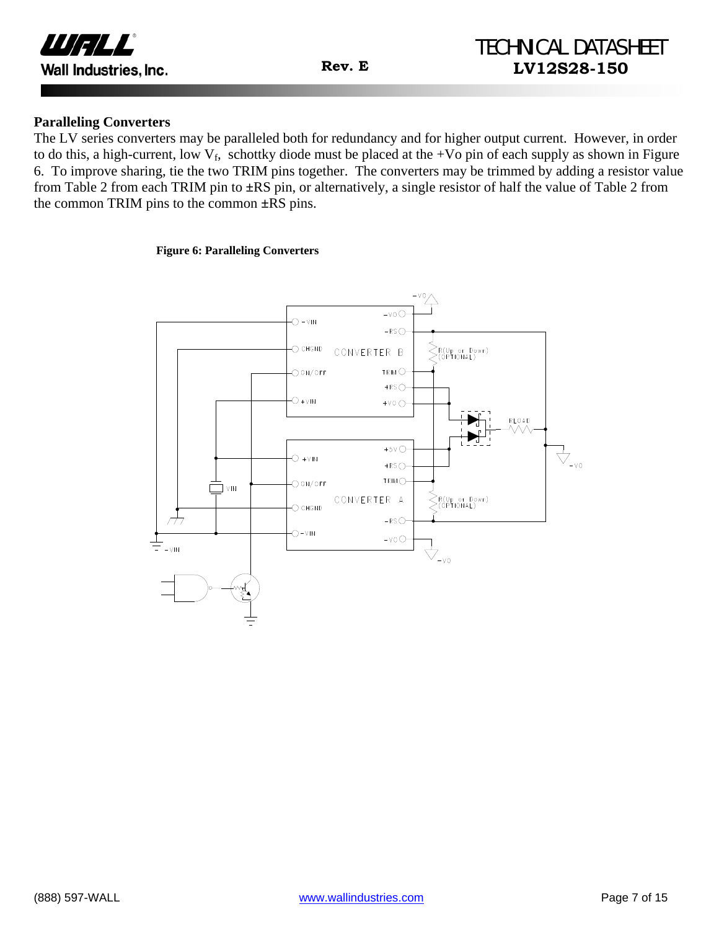

#### **Paralleling Converters**

The LV series converters may be paralleled both for redundancy and for higher output current. However, in order to do this, a high-current, low  $V_f$ , schottky diode must be placed at the +Vo pin of each supply as shown in Figure 6. To improve sharing, tie the two TRIM pins together. The converters may be trimmed by adding a resistor value from Table 2 from each TRIM pin to **±**RS pin, or alternatively, a single resistor of half the value of Table 2 from the common TRIM pins to the common **±**RS pins.

#### **Figure 6: Paralleling Converters**

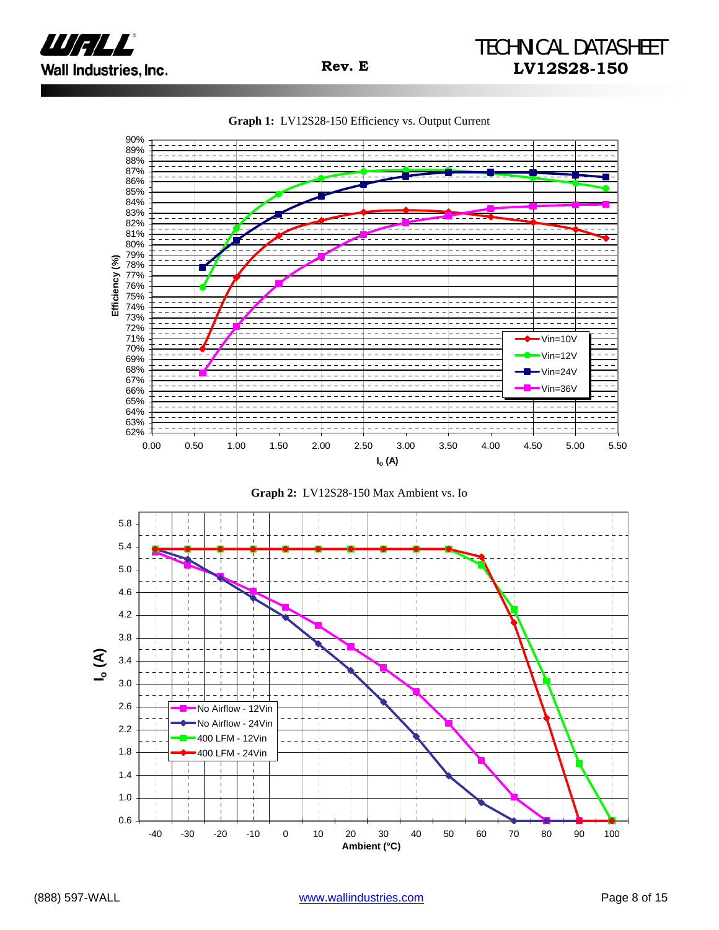







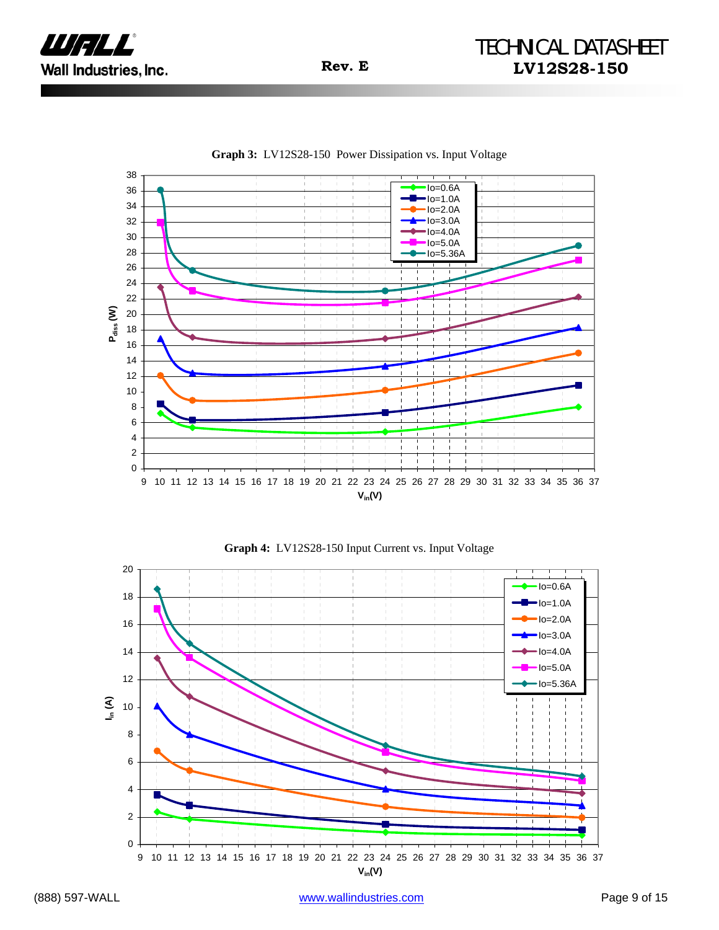







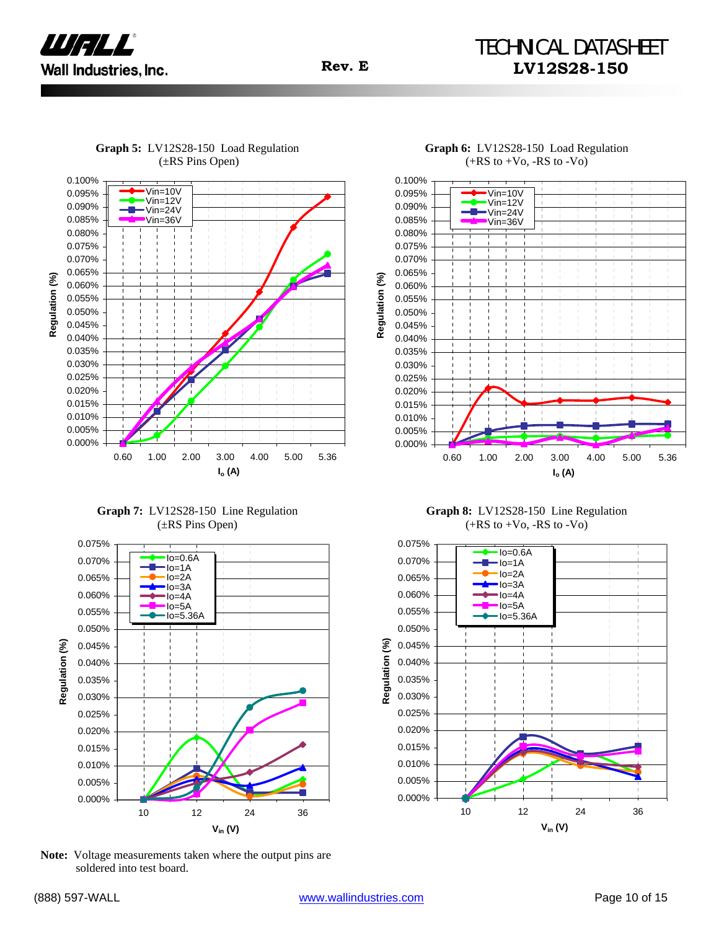

## TECHNICAL DATASHEET **Rev. E LV12S28-150**



**Graph 5:** LV12S28-150 Load Regulation (±RS Pins Open)

**Graph 7:** LV12S28-150 Line Regulation (±RS Pins Open)



**Note:** Voltage measurements taken where the output pins are soldered into test board.



**Graph 6:** LV12S28-150 Load Regulation  $(+RS to +Vo, -RS to -Vo)$ 

**Graph 8:** LV12S28-150 Line Regulation  $(+RS to +V<sub>0</sub>, -RS to -V<sub>0</sub>)$ 

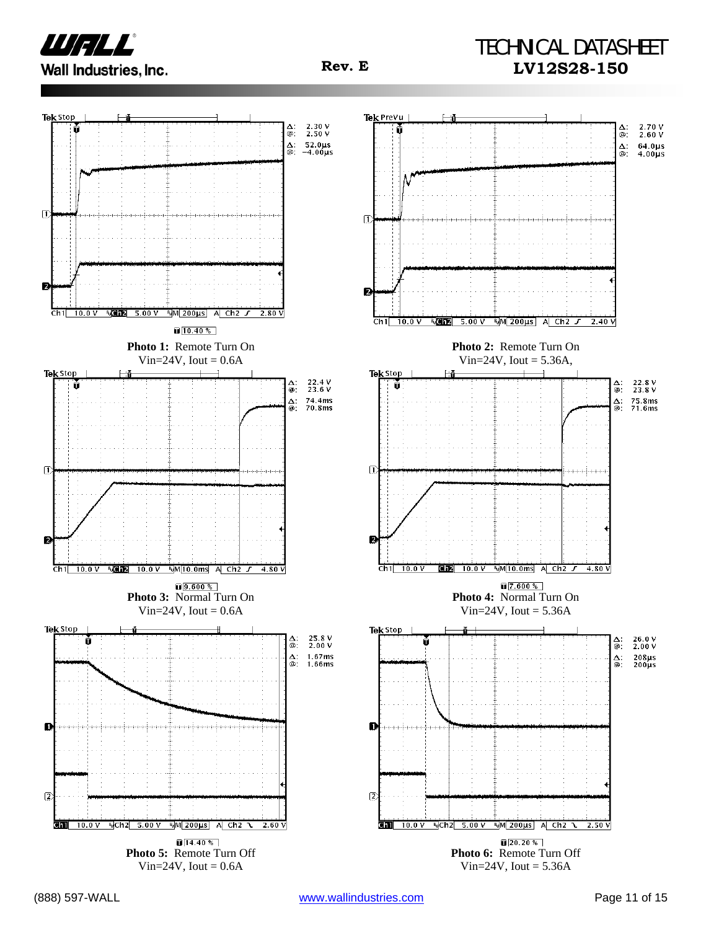

## TECHNICAL DATASHEET **Rev. E LV12S28-150**

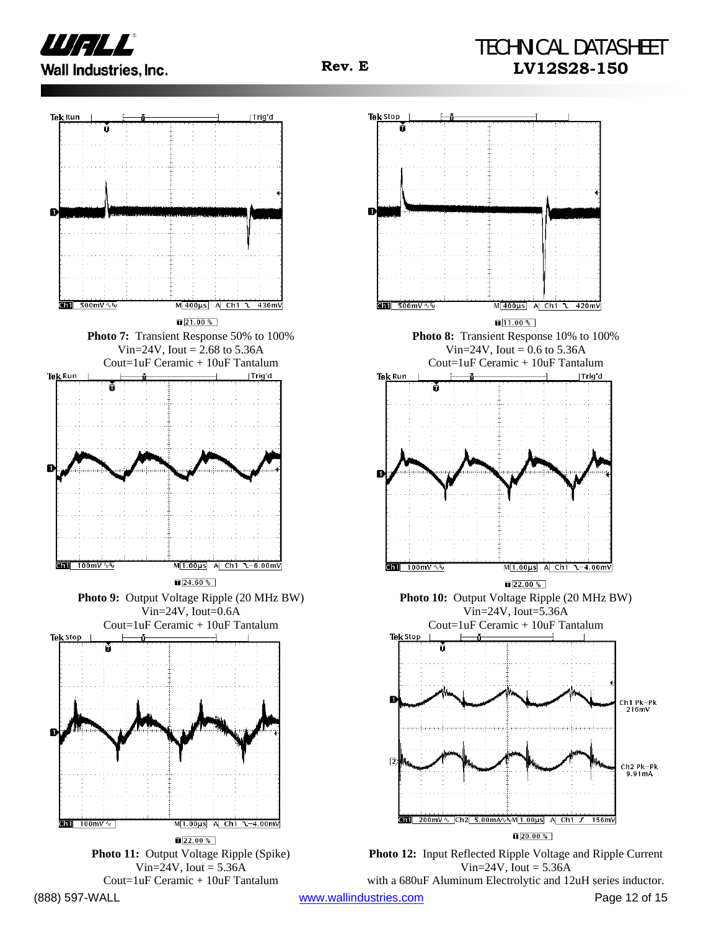





with a 680uF Aluminum Electrolytic and 12uH series inductor.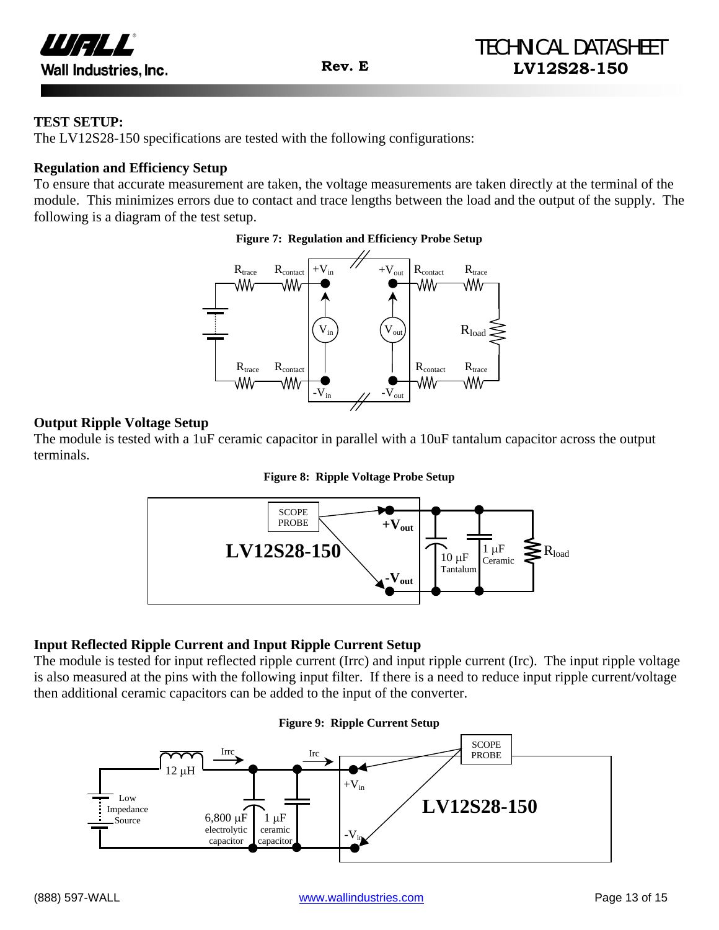

#### **TEST SETUP:**

The LV12S28-150 specifications are tested with the following configurations:

#### **Regulation and Efficiency Setup**

To ensure that accurate measurement are taken, the voltage measurements are taken directly at the terminal of the module. This minimizes errors due to contact and trace lengths between the load and the output of the supply. The following is a diagram of the test setup.

#### **Figure 7: Regulation and Efficiency Probe Setup**



#### **Output Ripple Voltage Setup**

The module is tested with a 1uF ceramic capacitor in parallel with a 10uF tantalum capacitor across the output terminals.





### **Input Reflected Ripple Current and Input Ripple Current Setup**

The module is tested for input reflected ripple current (Irrc) and input ripple current (Irc). The input ripple voltage is also measured at the pins with the following input filter. If there is a need to reduce input ripple current/voltage then additional ceramic capacitors can be added to the input of the converter.

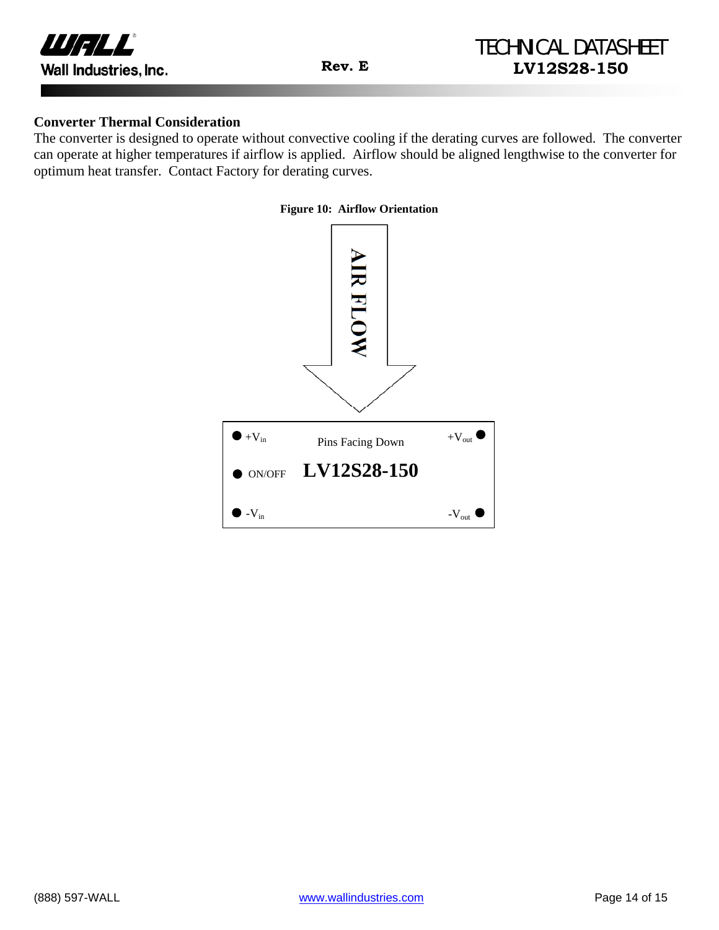

#### **Converter Thermal Consideration**

The converter is designed to operate without convective cooling if the derating curves are followed. The converter can operate at higher temperatures if airflow is applied. Airflow should be aligned lengthwise to the converter for optimum heat transfer. Contact Factory for derating curves.

#### **Figure 10: Airflow Orientation**